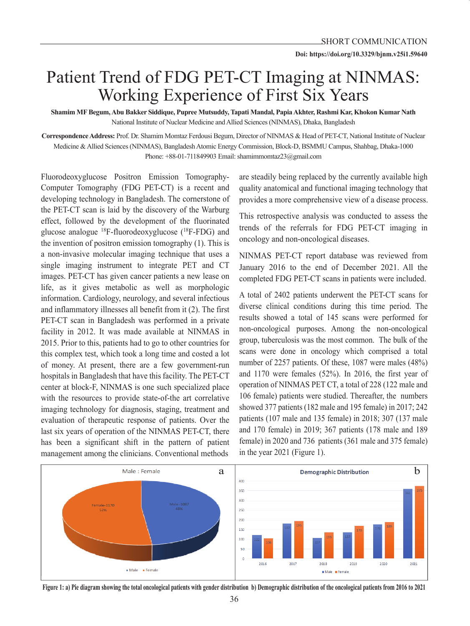## Patient Trend of FDG PET-CT Imaging at NINMAS: Working Experience of First Six Years

**Shamim MF Begum, Abu Bakker Siddique, Pupree Mutsuddy, Tapati Mandal, Papia Akhter, Rashmi Kar, Khokon Kumar Nath** National Institute of Nuclear Medicine and Allied Sciences (NINMAS), Dhaka, Bangladesh

**Correspondence Address:** Prof. Dr. Shamim Momtaz Ferdousi Begum, Director of NINMAS & Head of PET-CT, National Institute of Nuclear Medicine & Allied Sciences (NINMAS), Bangladesh Atomic Energy Commission, Block-D, BSMMU Campus, Shahbag, Dhaka-1000 Phone: +88-01-711849903 Email: shamimmomtaz23@gmail.com

Fluorodeoxyglucose Positron Emission Tomography-Computer Tomography (FDG PET-CT) is a recent and developing technology in Bangladesh. The cornerstone of the PET-CT scan is laid by the discovery of the Warburg effect, followed by the development of the fluorinated <sup>g</sup>lucose analogue 18F-fluorodeoxyglucose (18F-FDG) and the invention of positron emission tomography (1). This is a non-invasive molecular imaging technique that uses a single imaging instrument to integrate PET and CT images. PET-CT has given cancer patients a new lease on life, as it gives metabolic as well as morphologic information. Cardiology, neurology, and several infectious and inflammatory illnesses all benefit from it (2). The first PET-CT scan in Bangladesh was performed in a private facility in 2012. It was made available at NINMAS in 2015. Prior to this, patients had to go to other countries for this complex test, which took a long time and costed a lot of money. At present, there are a few government-run hospitals in Bangladesh that have this facility. The PET-CT center at block-F, NINMAS is one such specialized place with the resources to provide state-of-the art correlative imaging technology for diagnosis, staging, treatment and evaluation of therapeutic response of patients. Over the last six years of operation of the NINMAS PET-CT, there has been a significant shift in the pattern of patient management among the clinicians. Conventional methods

are steadily being replaced by the currently available high quality anatomical and functional imaging technology that provides a more comprehensive view of a disease process.

This retrospective analysis was conducted to assess the trends of the referrals for FDG PET-CT imaging in oncology and non-oncological diseases.

NINMAS PET-CT report database was reviewed from January 2016 to the end of December 2021. All the completed FDG PET-CT scans in patients were included.

A total of 2402 patients underwent the PET-CT scans for diverse clinical conditions during this time period. The results showed a total of 145 scans were performed for non-oncological purposes. Among the non-oncological group, tuberculosis was the most common. The bulk of the scans were done in oncology which comprised a total number of 2257 patients. Of these, 1087 were males (48%) and 1170 were females (52%). In 2016, the first year of operation of NINMAS PET CT, a total of 228 (122 male and 106 female) patients were studied. Thereafter, the numbers showed 377 patients (182 male and 195 female) in 2017; 242 patients (107 male and 135 female) in 2018; 307 (137 male and 170 female) in 2019; 367 patients (178 male and 189 female) in 2020 and 736 patients (361 male and 375 female) in the year 2021 (Figure 1).



**Figure 1: a) Pie diagram showing the total oncological patients with gender distribution b) Demographic distribution of the oncological patients from 2016 to 2021**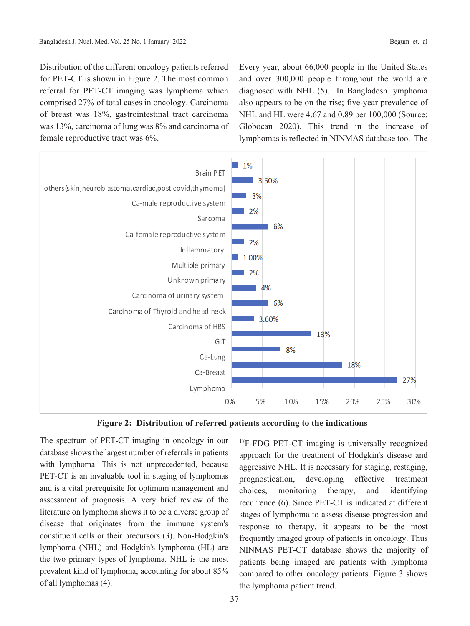Distribution of the different oncology patients referred for PET-CT is shown in Figure 2. The most common referral for PET-CT imaging was lymphoma which comprised 27% of total cases in oncology. Carcinoma of breast was 18%, gastrointestinal tract carcinoma was 13%, carcinoma of lung was 8% and carcinoma of female reproductive tract was 6%.

Every year, about 66,000 people in the United States and over 300,000 people throughout the world are diagnosed with NHL (5). In Bangladesh lymphoma also appears to be on the rise; five-year prevalence of NHL and HL were 4.67 and 0.89 per 100,000 (Source: Globocan 2020). This trend in the increase of lymphomas is reflected in NINMAS database too. The



**Figure 2: Distribution of referred patients according to the indications**

The spectrum of PET-CT imaging in oncology in our database shows the largest number of referrals in patients with lymphoma. This is not unprecedented, because PET-CT is an invaluable tool in staging of lymphomas and is a vital prerequisite for optimum management and assessment of prognosis. A very brief review of the literature on lymphoma shows it to be a diverse group of disease that originates from the immune system's constituent cells or their precursors (3). Non-Hodgkin's lymphoma (NHL) and Hodgkin's lymphoma (HL) are the two primary types of lymphoma. NHL is the most prevalent kind of lymphoma, accounting for about 85% of all lymphomas (4).

<sup>18</sup>F-FDG PET-CT imaging is universally recognized approach for the treatment of Hodgkin's disease and aggressive NHL. It is necessary for staging, restaging, prognostication, developing effective treatment choices, monitoring therapy, and identifying recurrence (6). Since PET-CT is indicated at different stages of lymphoma to assess disease progression and response to therapy, it appears to be the most frequently imaged group of patients in oncology. Thus NINMAS PET-CT database shows the majority of patients being imaged are patients with lymphoma compared to other oncology patients. Figure 3 shows the lymphoma patient trend.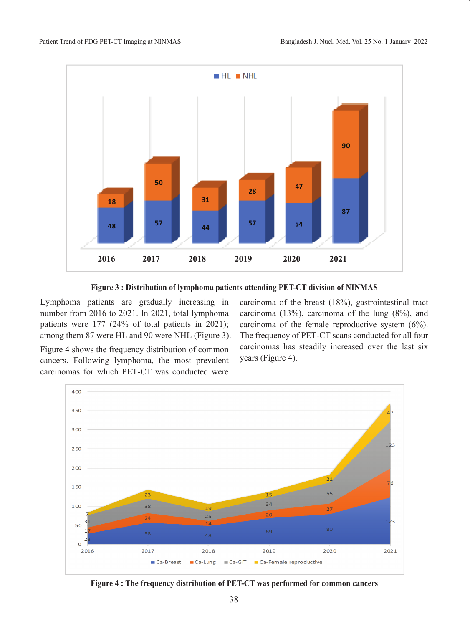

**Figure 3 : Distribution of lymphoma patients attending PET-CT division of NINMAS**

Lymphoma patients are gradually increasing in number from 2016 to 2021. In 2021, total lymphoma patients were 177 (24% of total patients in 2021); among them 87 were HL and 90 were NHL (Figure 3).

Figure 4 shows the frequency distribution of common cancers. Following lymphoma, the most prevalent carcinomas for which PET-CT was conducted were carcinoma of the breast (18%), gastrointestinal tract carcinoma (13%), carcinoma of the lung (8%), and carcinoma of the female reproductive system (6%). The frequency of PET-CT scans conducted for all four carcinomas has steadily increased over the last six years (Figure 4).



**Figure 4 : The frequency distribution of PET-CT was performed for common cancers**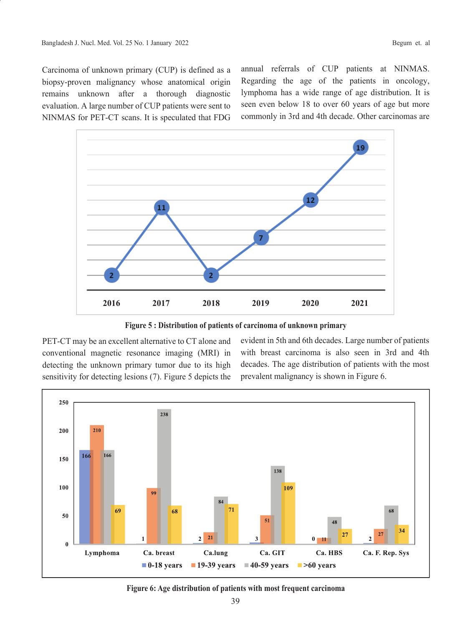Carcinoma of unknown primary (CUP) is defined as a biopsy-proven malignancy whose anatomical origin remains unknown after a thorough diagnostic evaluation. A large number of CUP patients were sent to NINMAS for PET-CT scans. It is speculated that FDG annual referrals of CUP patients at NINMAS. Regarding the age of the patients in oncology, lymphoma has a wide range of age distribution. It is seen even below 18 to over 60 years of age but more commonly in 3rd and 4th decade. Other carcinomas are



**Figure 5 : Distribution of patients of carcinoma of unknown primary**

PET-CT may be an excellent alternative to CT alone and conventional magnetic resonance imaging (MRI) in detecting the unknown primary tumor due to its high sensitivity for detecting lesions (7). Figure 5 depicts the evident in 5th and 6th decades. Large number of patients with breast carcinoma is also seen in 3rd and 4th decades. The age distribution of patients with the most prevalent malignancy is shown in Figure 6.